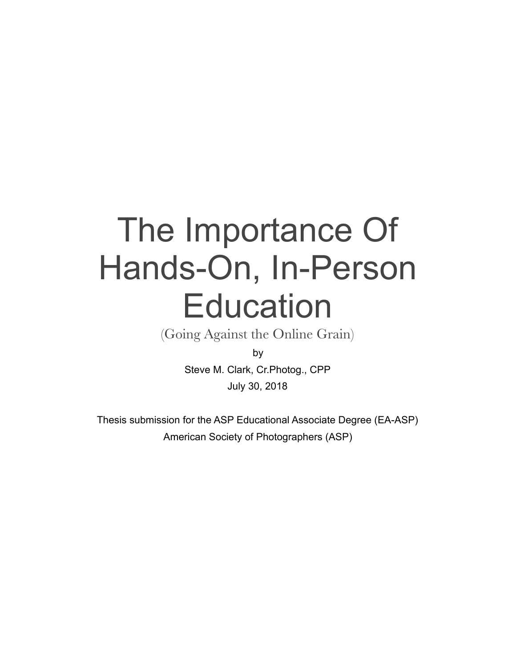# The Importance Of Hands-On, In-Person **Education**

(Going Against the Online Grain)

Steve M. Clark, Cr.Photog., CPP July 30, 2018

Thesis submission for the ASP Educational Associate Degree (EA-ASP) American Society of Photographers (ASP)

by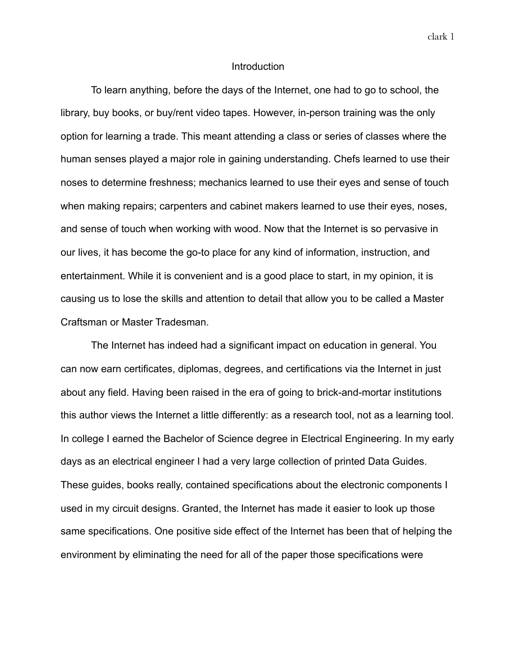clark 1

#### Introduction

To learn anything, before the days of the Internet, one had to go to school, the library, buy books, or buy/rent video tapes. However, in-person training was the only option for learning a trade. This meant attending a class or series of classes where the human senses played a major role in gaining understanding. Chefs learned to use their noses to determine freshness; mechanics learned to use their eyes and sense of touch when making repairs; carpenters and cabinet makers learned to use their eyes, noses, and sense of touch when working with wood. Now that the Internet is so pervasive in our lives, it has become the go-to place for any kind of information, instruction, and entertainment. While it is convenient and is a good place to start, in my opinion, it is causing us to lose the skills and attention to detail that allow you to be called a Master Craftsman or Master Tradesman.

The Internet has indeed had a significant impact on education in general. You can now earn certificates, diplomas, degrees, and certifications via the Internet in just about any field. Having been raised in the era of going to brick-and-mortar institutions this author views the Internet a little differently: as a research tool, not as a learning tool. In college I earned the Bachelor of Science degree in Electrical Engineering. In my early days as an electrical engineer I had a very large collection of printed Data Guides. These guides, books really, contained specifications about the electronic components I used in my circuit designs. Granted, the Internet has made it easier to look up those same specifications. One positive side effect of the Internet has been that of helping the environment by eliminating the need for all of the paper those specifications were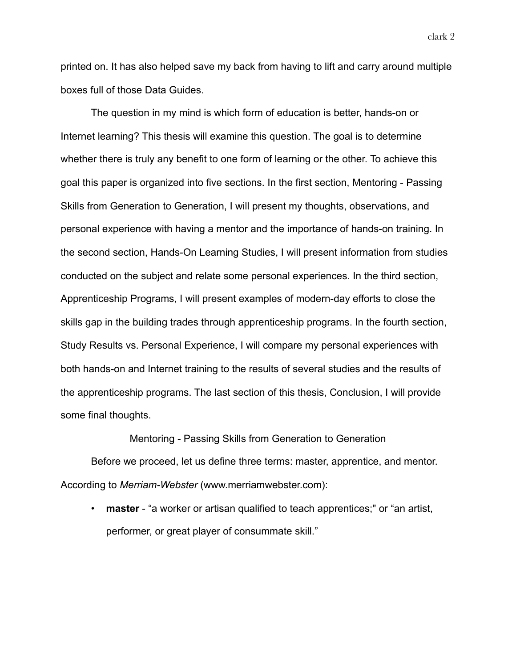printed on. It has also helped save my back from having to lift and carry around multiple boxes full of those Data Guides.

The question in my mind is which form of education is better, hands-on or Internet learning? This thesis will examine this question. The goal is to determine whether there is truly any benefit to one form of learning or the other. To achieve this goal this paper is organized into five sections. In the first section, Mentoring - Passing Skills from Generation to Generation, I will present my thoughts, observations, and personal experience with having a mentor and the importance of hands-on training. In the second section, Hands-On Learning Studies, I will present information from studies conducted on the subject and relate some personal experiences. In the third section, Apprenticeship Programs, I will present examples of modern-day efforts to close the skills gap in the building trades through apprenticeship programs. In the fourth section, Study Results vs. Personal Experience, I will compare my personal experiences with both hands-on and Internet training to the results of several studies and the results of the apprenticeship programs. The last section of this thesis, Conclusion, I will provide some final thoughts.

Mentoring - Passing Skills from Generation to Generation

Before we proceed, let us define three terms: master, apprentice, and mentor. According to *Merriam-Webster* (www.merriamwebster.com):

• **master** - "a worker or artisan qualified to teach apprentices;" or "an artist, performer, or great player of consummate skill."

clark 2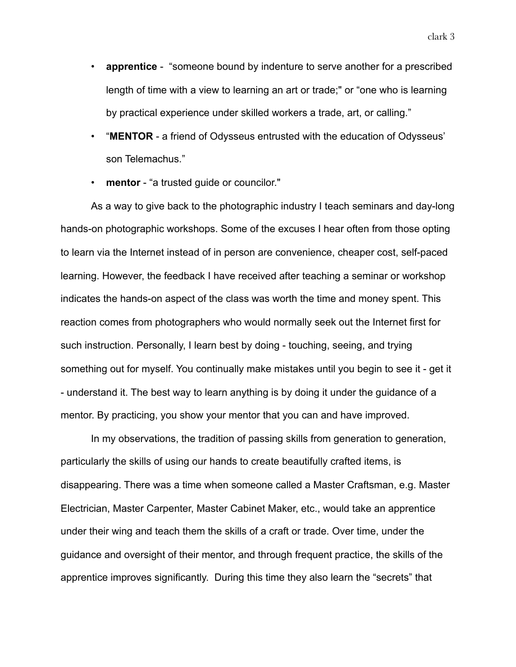- **apprentice** "someone bound by indenture to serve another for a prescribed length of time with a view to learning an art or trade;" or "one who is learning by practical experience under skilled workers a trade, art, or calling."
- "**MENTOR** a friend of Odysseus entrusted with the education of Odysseus' son Telemachus."
- **mentor** "a trusted guide or councilor."

As a way to give back to the photographic industry I teach seminars and day-long hands-on photographic workshops. Some of the excuses I hear often from those opting to learn via the Internet instead of in person are convenience, cheaper cost, self-paced learning. However, the feedback I have received after teaching a seminar or workshop indicates the hands-on aspect of the class was worth the time and money spent. This reaction comes from photographers who would normally seek out the Internet first for such instruction. Personally, I learn best by doing - touching, seeing, and trying something out for myself. You continually make mistakes until you begin to see it - get it - understand it. The best way to learn anything is by doing it under the guidance of a mentor. By practicing, you show your mentor that you can and have improved.

In my observations, the tradition of passing skills from generation to generation, particularly the skills of using our hands to create beautifully crafted items, is disappearing. There was a time when someone called a Master Craftsman, e.g. Master Electrician, Master Carpenter, Master Cabinet Maker, etc., would take an apprentice under their wing and teach them the skills of a craft or trade. Over time, under the guidance and oversight of their mentor, and through frequent practice, the skills of the apprentice improves significantly. During this time they also learn the "secrets" that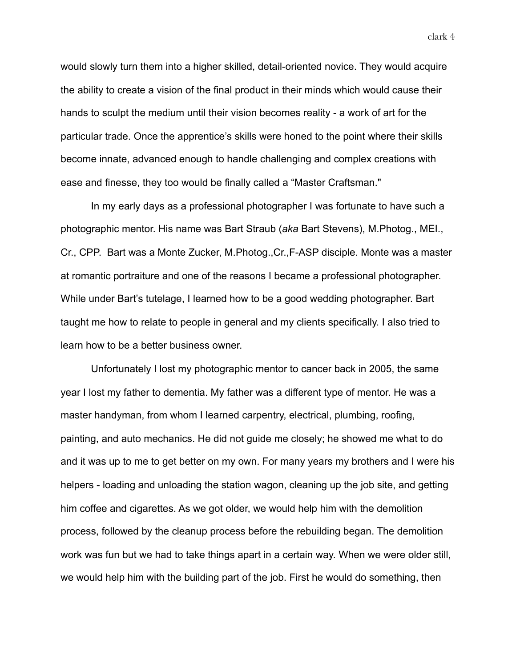would slowly turn them into a higher skilled, detail-oriented novice. They would acquire the ability to create a vision of the final product in their minds which would cause their hands to sculpt the medium until their vision becomes reality - a work of art for the particular trade. Once the apprentice's skills were honed to the point where their skills become innate, advanced enough to handle challenging and complex creations with ease and finesse, they too would be finally called a "Master Craftsman."

In my early days as a professional photographer I was fortunate to have such a photographic mentor. His name was Bart Straub (*aka* Bart Stevens), M.Photog., MEI., Cr., CPP. Bart was a Monte Zucker, M.Photog.,Cr.,F-ASP disciple. Monte was a master at romantic portraiture and one of the reasons I became a professional photographer. While under Bart's tutelage, I learned how to be a good wedding photographer. Bart taught me how to relate to people in general and my clients specifically. I also tried to learn how to be a better business owner.

Unfortunately I lost my photographic mentor to cancer back in 2005, the same year I lost my father to dementia. My father was a different type of mentor. He was a master handyman, from whom I learned carpentry, electrical, plumbing, roofing, painting, and auto mechanics. He did not guide me closely; he showed me what to do and it was up to me to get better on my own. For many years my brothers and I were his helpers - loading and unloading the station wagon, cleaning up the job site, and getting him coffee and cigarettes. As we got older, we would help him with the demolition process, followed by the cleanup process before the rebuilding began. The demolition work was fun but we had to take things apart in a certain way. When we were older still, we would help him with the building part of the job. First he would do something, then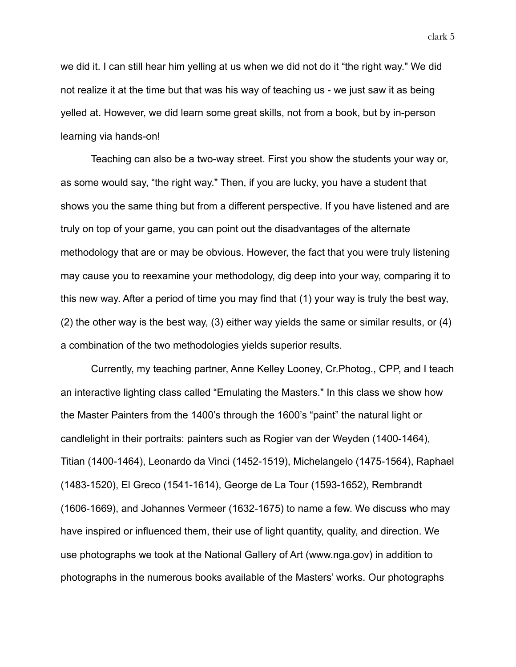we did it. I can still hear him yelling at us when we did not do it "the right way." We did not realize it at the time but that was his way of teaching us - we just saw it as being yelled at. However, we did learn some great skills, not from a book, but by in-person learning via hands-on!

Teaching can also be a two-way street. First you show the students your way or, as some would say, "the right way." Then, if you are lucky, you have a student that shows you the same thing but from a different perspective. If you have listened and are truly on top of your game, you can point out the disadvantages of the alternate methodology that are or may be obvious. However, the fact that you were truly listening may cause you to reexamine your methodology, dig deep into your way, comparing it to this new way. After a period of time you may find that (1) your way is truly the best way, (2) the other way is the best way, (3) either way yields the same or similar results, or (4) a combination of the two methodologies yields superior results.

Currently, my teaching partner, Anne Kelley Looney, Cr.Photog., CPP, and I teach an interactive lighting class called "Emulating the Masters." In this class we show how the Master Painters from the 1400's through the 1600's "paint" the natural light or candlelight in their portraits: painters such as Rogier van der Weyden (1400-1464), Titian (1400-1464), Leonardo da Vinci (1452-1519), Michelangelo (1475-1564), Raphael (1483-1520), El Greco (1541-1614), George de La Tour (1593-1652), Rembrandt (1606-1669), and Johannes Vermeer (1632-1675) to name a few. We discuss who may have inspired or influenced them, their use of light quantity, quality, and direction. We use photographs we took at the National Gallery of Art (www.nga.gov) in addition to photographs in the numerous books available of the Masters' works. Our photographs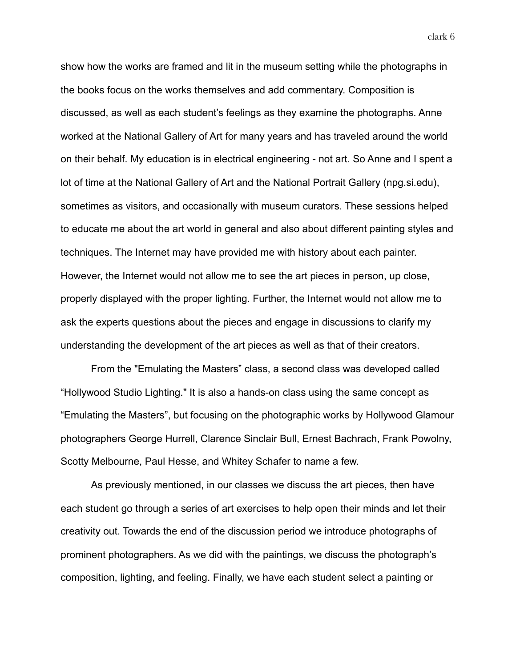show how the works are framed and lit in the museum setting while the photographs in the books focus on the works themselves and add commentary. Composition is discussed, as well as each student's feelings as they examine the photographs. Anne worked at the National Gallery of Art for many years and has traveled around the world on their behalf. My education is in electrical engineering - not art. So Anne and I spent a lot of time at the National Gallery of Art and the National Portrait Gallery (npg.si.edu), sometimes as visitors, and occasionally with museum curators. These sessions helped to educate me about the art world in general and also about different painting styles and techniques. The Internet may have provided me with history about each painter. However, the Internet would not allow me to see the art pieces in person, up close, properly displayed with the proper lighting. Further, the Internet would not allow me to ask the experts questions about the pieces and engage in discussions to clarify my understanding the development of the art pieces as well as that of their creators.

From the "Emulating the Masters" class, a second class was developed called "Hollywood Studio Lighting." It is also a hands-on class using the same concept as "Emulating the Masters", but focusing on the photographic works by Hollywood Glamour photographers George Hurrell, Clarence Sinclair Bull, Ernest Bachrach, Frank Powolny, Scotty Melbourne, Paul Hesse, and Whitey Schafer to name a few.

As previously mentioned, in our classes we discuss the art pieces, then have each student go through a series of art exercises to help open their minds and let their creativity out. Towards the end of the discussion period we introduce photographs of prominent photographers. As we did with the paintings, we discuss the photograph's composition, lighting, and feeling. Finally, we have each student select a painting or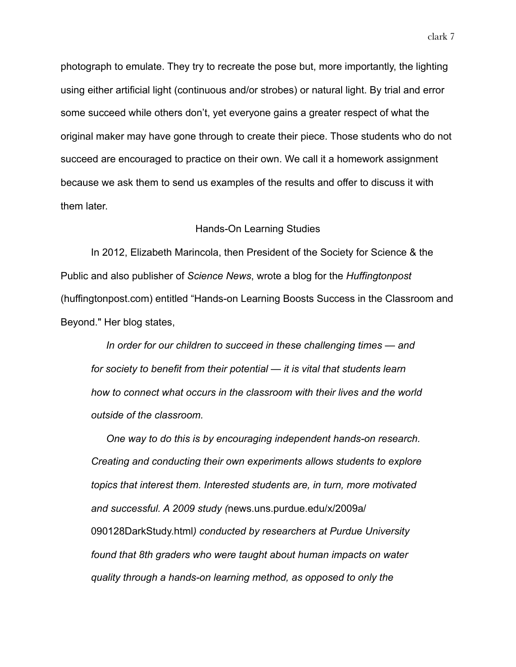photograph to emulate. They try to recreate the pose but, more importantly, the lighting using either artificial light (continuous and/or strobes) or natural light. By trial and error some succeed while others don't, yet everyone gains a greater respect of what the original maker may have gone through to create their piece. Those students who do not succeed are encouraged to practice on their own. We call it a homework assignment because we ask them to send us examples of the results and offer to discuss it with them later.

#### Hands-On Learning Studies

In 2012, Elizabeth Marincola, then President of the Society for Science & the Public and also publisher of *Science News*, wrote a blog for the *Huffingtonpost* (huffingtonpost.com) entitled "Hands-on Learning Boosts Success in the Classroom and Beyond." Her blog states,

*In order for our children to succeed in these challenging times — and for society to benefit from their potential — it is vital that students learn how to connect what occurs in the classroom with their lives and the world outside of the classroom.* 

*One way to do this is by encouraging independent hands-on research. Creating and conducting their own experiments allows students to explore topics that interest them. Interested students are, in turn, more motivated and successful. A 2009 study (*news.uns.purdue.edu/x/2009a/ 090128DarkStudy.html*) conducted by researchers at Purdue University found that 8th graders who were taught about human impacts on water quality through a hands-on learning method, as opposed to only the*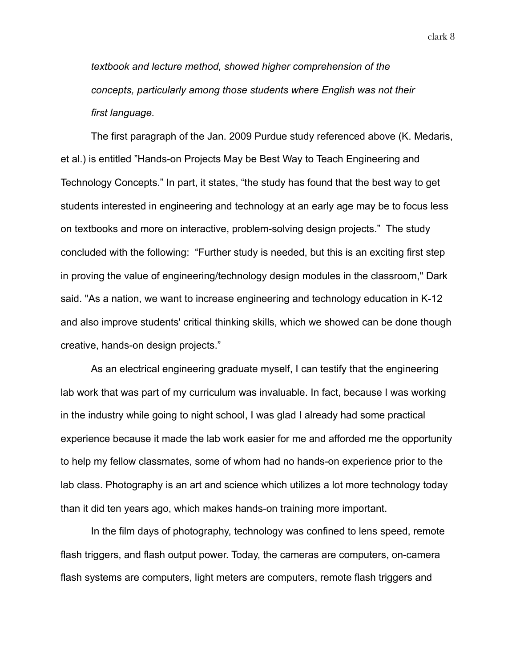*textbook and lecture method, showed higher comprehension of the concepts, particularly among those students where English was not their first language.*

The first paragraph of the Jan. 2009 Purdue study referenced above (K. Medaris, et al.) is entitled "Hands-on Projects May be Best Way to Teach Engineering and Technology Concepts." In part, it states, "the study has found that the best way to get students interested in engineering and technology at an early age may be to focus less on textbooks and more on interactive, problem-solving design projects." The study concluded with the following: "Further study is needed, but this is an exciting first step in proving the value of engineering/technology design modules in the classroom," Dark said. "As a nation, we want to increase engineering and technology education in K-12 and also improve students' critical thinking skills, which we showed can be done though creative, hands-on design projects."

As an electrical engineering graduate myself, I can testify that the engineering lab work that was part of my curriculum was invaluable. In fact, because I was working in the industry while going to night school, I was glad I already had some practical experience because it made the lab work easier for me and afforded me the opportunity to help my fellow classmates, some of whom had no hands-on experience prior to the lab class. Photography is an art and science which utilizes a lot more technology today than it did ten years ago, which makes hands-on training more important.

In the film days of photography, technology was confined to lens speed, remote flash triggers, and flash output power. Today, the cameras are computers, on-camera flash systems are computers, light meters are computers, remote flash triggers and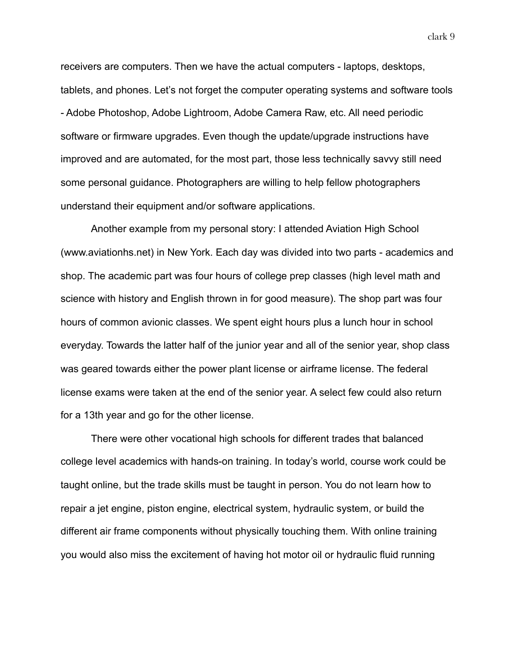receivers are computers. Then we have the actual computers - laptops, desktops, tablets, and phones. Let's not forget the computer operating systems and software tools - Adobe Photoshop, Adobe Lightroom, Adobe Camera Raw, etc. All need periodic software or firmware upgrades. Even though the update/upgrade instructions have improved and are automated, for the most part, those less technically savvy still need some personal guidance. Photographers are willing to help fellow photographers understand their equipment and/or software applications.

Another example from my personal story: I attended Aviation High School (www.aviationhs.net) in New York. Each day was divided into two parts - academics and shop. The academic part was four hours of college prep classes (high level math and science with history and English thrown in for good measure). The shop part was four hours of common avionic classes. We spent eight hours plus a lunch hour in school everyday. Towards the latter half of the junior year and all of the senior year, shop class was geared towards either the power plant license or airframe license. The federal license exams were taken at the end of the senior year. A select few could also return for a 13th year and go for the other license.

There were other vocational high schools for different trades that balanced college level academics with hands-on training. In today's world, course work could be taught online, but the trade skills must be taught in person. You do not learn how to repair a jet engine, piston engine, electrical system, hydraulic system, or build the different air frame components without physically touching them. With online training you would also miss the excitement of having hot motor oil or hydraulic fluid running

clark 9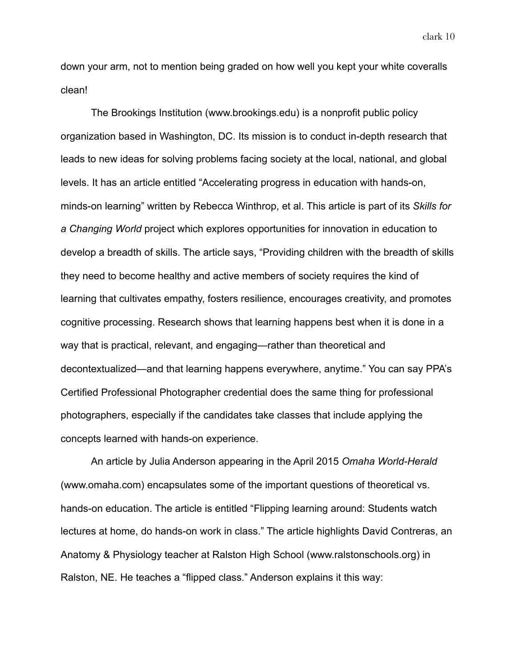down your arm, not to mention being graded on how well you kept your white coveralls clean!

The Brookings Institution (www.brookings.edu) is a nonprofit public policy organization based in Washington, DC. Its mission is to conduct in-depth research that leads to new ideas for solving problems facing society at the local, national, and global levels. It has an article entitled "Accelerating progress in education with hands-on, minds-on learning" written by Rebecca Winthrop, et al. This article is part of its *Skills for a Changing World* project which explores opportunities for innovation in education to develop a breadth of skills. The article says, "Providing children with the breadth of skills they need to become healthy and active members of society requires the kind of learning that cultivates empathy, fosters resilience, encourages creativity, and promotes cognitive processing. Research shows that learning happens best when it is done in a way that is practical, relevant, and engaging—rather than theoretical and decontextualized—and that learning happens everywhere, anytime." You can say PPA's Certified Professional Photographer credential does the same thing for professional photographers, especially if the candidates take classes that include applying the concepts learned with hands-on experience.

An article by Julia Anderson appearing in the April 2015 *Omaha World-Herald* (www.omaha.com) encapsulates some of the important questions of theoretical vs. hands-on education. The article is entitled "Flipping learning around: Students watch lectures at home, do hands-on work in class." The article highlights David Contreras, an Anatomy & Physiology teacher at Ralston High School (www.ralstonschools.org) in Ralston, NE. He teaches a "flipped class." Anderson explains it this way:

clark 10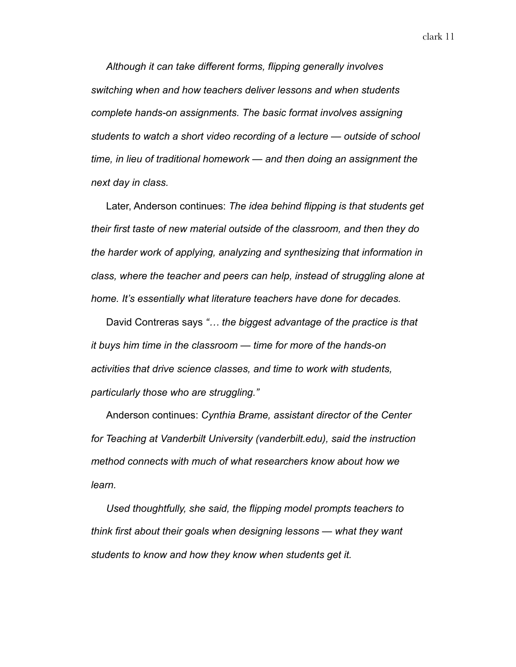*Although it can take different forms, flipping generally involves switching when and how teachers deliver lessons and when students complete hands-on assignments. The basic format involves assigning students to watch a short video recording of a lecture — outside of school time, in lieu of traditional homework — and then doing an assignment the next day in class.* 

Later, Anderson continues: *The idea behind flipping is that students get their first taste of new material outside of the classroom, and then they do the harder work of applying, analyzing and synthesizing that information in class, where the teacher and peers can help, instead of struggling alone at home. It's essentially what literature teachers have done for decades.* 

David Contreras says *"… the biggest advantage of the practice is that it buys him time in the classroom — time for more of the hands-on activities that drive science classes, and time to work with students, particularly those who are struggling."* 

Anderson continues: *Cynthia Brame, assistant director of the Center for Teaching at Vanderbilt University (vanderbilt.edu), said the instruction method connects with much of what researchers know about how we learn.* 

*Used thoughtfully, she said, the flipping model prompts teachers to think first about their goals when designing lessons — what they want students to know and how they know when students get it.*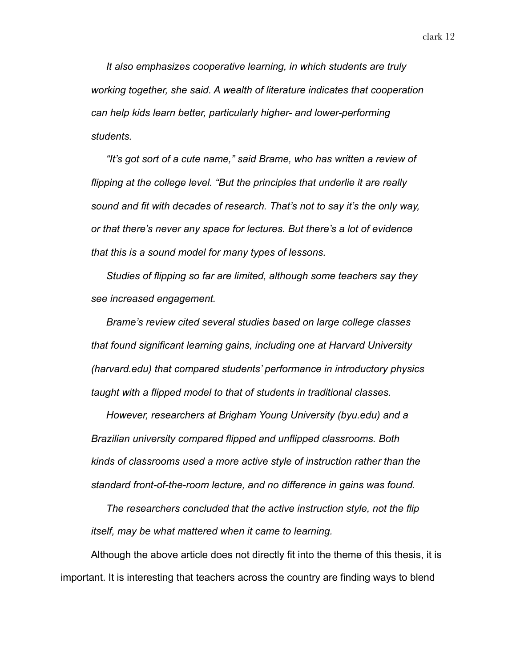*It also emphasizes cooperative learning, in which students are truly working together, she said. A wealth of literature indicates that cooperation can help kids learn better, particularly higher- and lower-performing students.* 

*"It's got sort of a cute name," said Brame, who has written a review of flipping at the college level. "But the principles that underlie it are really sound and fit with decades of research. That's not to say it's the only way, or that there's never any space for lectures. But there's a lot of evidence that this is a sound model for many types of lessons.* 

*Studies of flipping so far are limited, although some teachers say they see increased engagement.* 

*Brame's review cited several studies based on large college classes that found significant learning gains, including one at Harvard University (harvard.edu) that compared students' performance in introductory physics taught with a flipped model to that of students in traditional classes.* 

*However, researchers at Brigham Young University (byu.edu) and a Brazilian university compared flipped and unflipped classrooms. Both kinds of classrooms used a more active style of instruction rather than the standard front-of-the-room lecture, and no difference in gains was found.* 

*The researchers concluded that the active instruction style, not the flip itself, may be what mattered when it came to learning.* 

Although the above article does not directly fit into the theme of this thesis, it is important. It is interesting that teachers across the country are finding ways to blend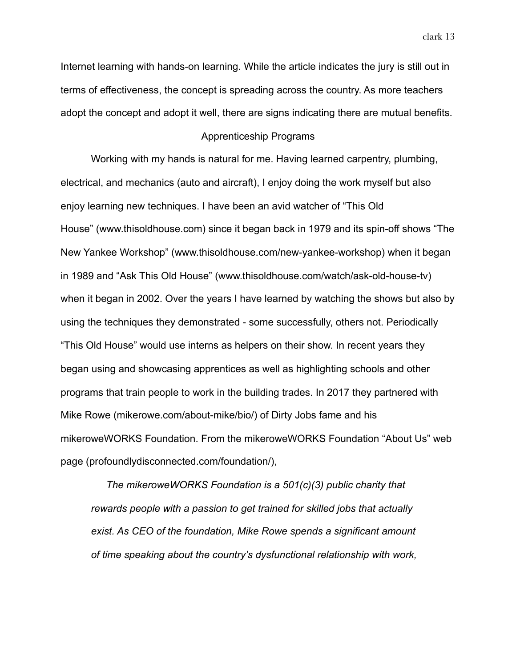Internet learning with hands-on learning. While the article indicates the jury is still out in terms of effectiveness, the concept is spreading across the country. As more teachers

adopt the concept and adopt it well, there are signs indicating there are mutual benefits.

## Apprenticeship Programs

Working with my hands is natural for me. Having learned carpentry, plumbing, electrical, and mechanics (auto and aircraft), I enjoy doing the work myself but also enjoy learning new techniques. I have been an avid watcher of "This Old House" (www.thisoldhouse.com) since it began back in 1979 and its spin-off shows "The New Yankee Workshop" (www.thisoldhouse.com/new-yankee-workshop) when it began in 1989 and "Ask This Old House" (www.thisoldhouse.com/watch/ask-old-house-tv) when it began in 2002. Over the years I have learned by watching the shows but also by using the techniques they demonstrated - some successfully, others not. Periodically "This Old House" would use interns as helpers on their show. In recent years they began using and showcasing apprentices as well as highlighting schools and other programs that train people to work in the building trades. In 2017 they partnered with Mike Rowe (mikerowe.com/about-mike/bio/) of Dirty Jobs fame and his mikeroweWORKS Foundation. From the mikeroweWORKS Foundation "About Us" web page (profoundlydisconnected.com/foundation/),

*The mikeroweWORKS Foundation is a 501(c)(3) public charity that rewards people with a passion to get trained for skilled jobs that actually exist. As CEO of the foundation, Mike Rowe spends a significant amount of time speaking about the country's dysfunctional relationship with work,*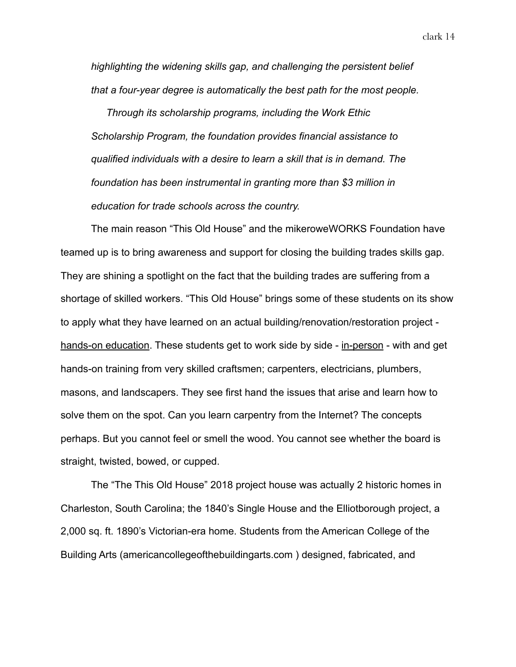clark 14

*highlighting the widening skills gap, and challenging the persistent belief that a four-year degree is automatically the best path for the most people.* 

*Through its scholarship programs, including the Work Ethic Scholarship Program, the foundation provides financial assistance to qualified individuals with a desire to learn a skill that is in demand. The foundation has been instrumental in granting more than \$3 million in education for trade schools across the country.* 

The main reason "This Old House" and the mikeroweWORKS Foundation have teamed up is to bring awareness and support for closing the building trades skills gap. They are shining a spotlight on the fact that the building trades are suffering from a shortage of skilled workers. "This Old House" brings some of these students on its show to apply what they have learned on an actual building/renovation/restoration project hands-on education. These students get to work side by side - in-person - with and get hands-on training from very skilled craftsmen; carpenters, electricians, plumbers, masons, and landscapers. They see first hand the issues that arise and learn how to solve them on the spot. Can you learn carpentry from the Internet? The concepts perhaps. But you cannot feel or smell the wood. You cannot see whether the board is straight, twisted, bowed, or cupped.

The "The This Old House" 2018 project house was actually 2 historic homes in Charleston, South Carolina; the 1840's Single House and the Elliotborough project, a 2,000 sq. ft. 1890's Victorian-era home. Students from the American College of the Building Arts (americancollegeofthebuildingarts.com ) designed, fabricated, and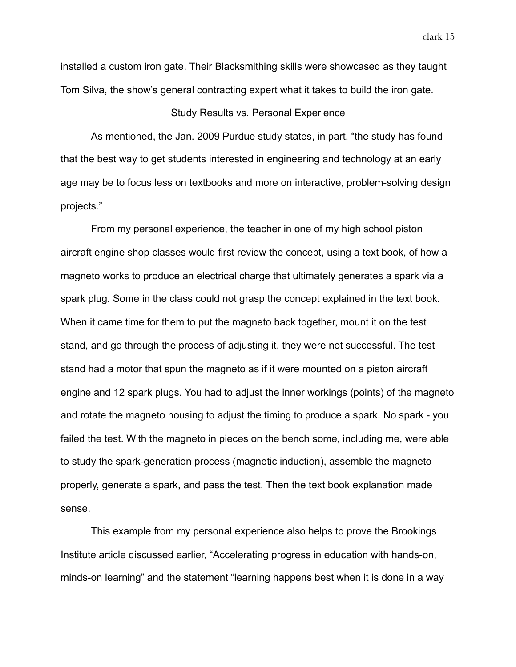installed a custom iron gate. Their Blacksmithing skills were showcased as they taught Tom Silva, the show's general contracting expert what it takes to build the iron gate.

## Study Results vs. Personal Experience

As mentioned, the Jan. 2009 Purdue study states, in part, "the study has found that the best way to get students interested in engineering and technology at an early age may be to focus less on textbooks and more on interactive, problem-solving design projects."

From my personal experience, the teacher in one of my high school piston aircraft engine shop classes would first review the concept, using a text book, of how a magneto works to produce an electrical charge that ultimately generates a spark via a spark plug. Some in the class could not grasp the concept explained in the text book. When it came time for them to put the magneto back together, mount it on the test stand, and go through the process of adjusting it, they were not successful. The test stand had a motor that spun the magneto as if it were mounted on a piston aircraft engine and 12 spark plugs. You had to adjust the inner workings (points) of the magneto and rotate the magneto housing to adjust the timing to produce a spark. No spark - you failed the test. With the magneto in pieces on the bench some, including me, were able to study the spark-generation process (magnetic induction), assemble the magneto properly, generate a spark, and pass the test. Then the text book explanation made sense.

This example from my personal experience also helps to prove the Brookings Institute article discussed earlier, "Accelerating progress in education with hands-on, minds-on learning" and the statement "learning happens best when it is done in a way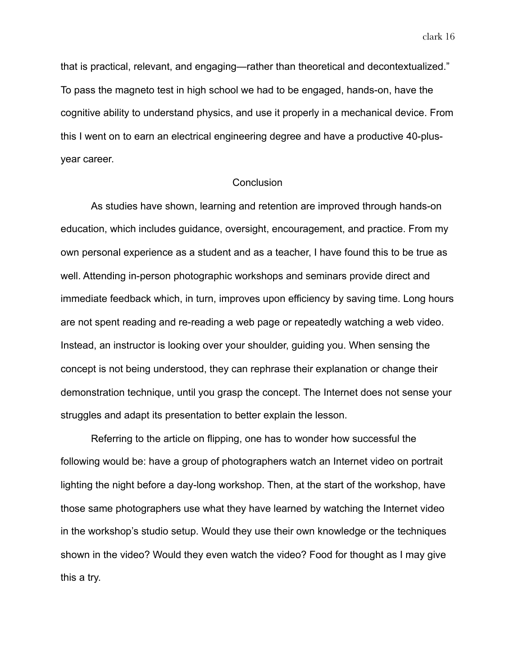clark 16

that is practical, relevant, and engaging—rather than theoretical and decontextualized." To pass the magneto test in high school we had to be engaged, hands-on, have the cognitive ability to understand physics, and use it properly in a mechanical device. From this I went on to earn an electrical engineering degree and have a productive 40-plusyear career.

# **Conclusion**

As studies have shown, learning and retention are improved through hands-on education, which includes guidance, oversight, encouragement, and practice. From my own personal experience as a student and as a teacher, I have found this to be true as well. Attending in-person photographic workshops and seminars provide direct and immediate feedback which, in turn, improves upon efficiency by saving time. Long hours are not spent reading and re-reading a web page or repeatedly watching a web video. Instead, an instructor is looking over your shoulder, guiding you. When sensing the concept is not being understood, they can rephrase their explanation or change their demonstration technique, until you grasp the concept. The Internet does not sense your struggles and adapt its presentation to better explain the lesson.

Referring to the article on flipping, one has to wonder how successful the following would be: have a group of photographers watch an Internet video on portrait lighting the night before a day-long workshop. Then, at the start of the workshop, have those same photographers use what they have learned by watching the Internet video in the workshop's studio setup. Would they use their own knowledge or the techniques shown in the video? Would they even watch the video? Food for thought as I may give this a try.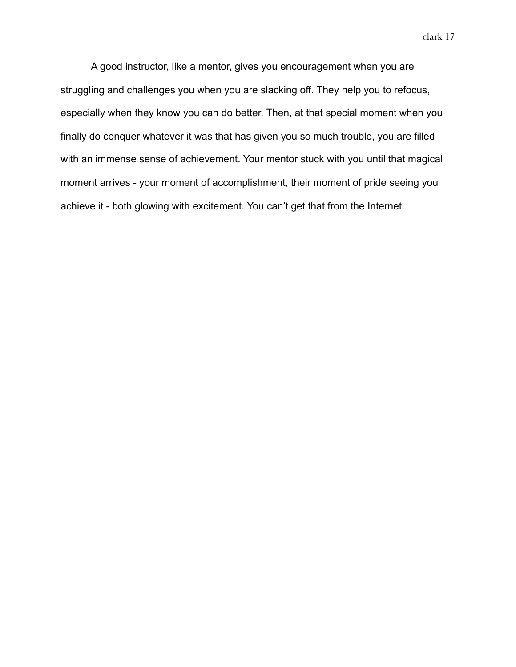clark 17

A good instructor, like a mentor, gives you encouragement when you are struggling and challenges you when you are slacking off. They help you to refocus, especially when they know you can do better. Then, at that special moment when you finally do conquer whatever it was that has given you so much trouble, you are filled with an immense sense of achievement. Your mentor stuck with you until that magical moment arrives - your moment of accomplishment, their moment of pride seeing you achieve it - both glowing with excitement. You can't get that from the Internet.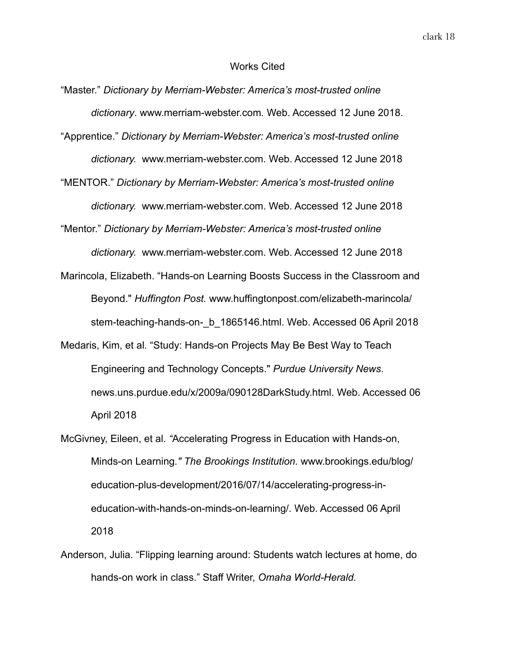#### Works Cited

- "Master." *Dictionary by Merriam-Webster: America's most-trusted online dictionary*. www.merriam-webster.com*.* Web. Accessed 12 June 2018.
- "Apprentice." *Dictionary by Merriam-Webster: America's most-trusted online dictionary.* www.merriam-webster.com. Web. Accessed 12 June 2018
- "MENTOR." *Dictionary by Merriam-Webster: America's most-trusted online dictionary.* www.merriam-webster.com. Web. Accessed 12 June 2018

"Mentor." *Dictionary by Merriam-Webster: America's most-trusted online* 

*dictionary.* www.merriam-webster.com. Web. Accessed 12 June 2018

- Marincola, Elizabeth. "Hands-on Learning Boosts Success in the Classroom and Beyond." *Huffington Post.* www.huffingtonpost.com/elizabeth-marincola/ stem-teaching-hands-on-\_b\_1865146.html. Web. Accessed 06 April 2018
- Medaris, Kim, et al*.* "Study: Hands-on Projects May Be Best Way to Teach Engineering and Technology Concepts." *Purdue University News*. news.uns.purdue.edu/x/2009a/090128DarkStudy.html. Web. Accessed 06 April 2018
- McGivney, Eileen, et al. *"*Accelerating Progress in Education with Hands-on, Minds-on Learning*." The Brookings Institution.* www.brookings.edu/blog/ education-plus-development/2016/07/14/accelerating-progress-ineducation-with-hands-on-minds-on-learning/. Web. Accessed 06 April 2018
- Anderson, Julia. "Flipping learning around: Students watch lectures at home, do hands-on work in class." Staff Writer, *Omaha World-Herald.*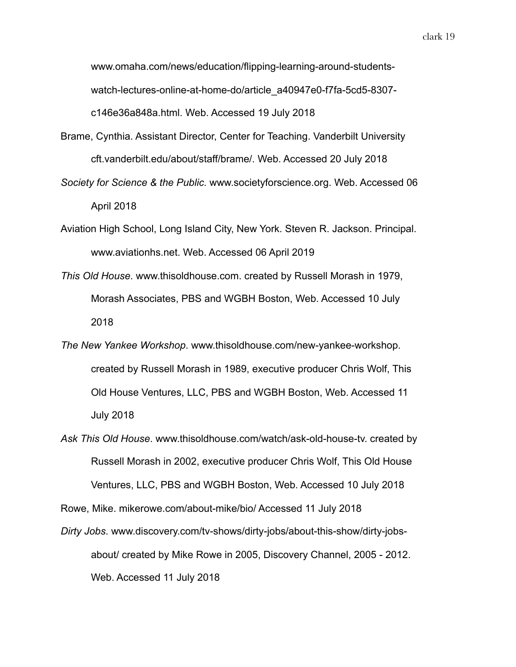www.omaha.com/news/education/flipping-learning-around-studentswatch-lectures-online-at-home-do/article\_a40947e0-f7fa-5cd5-8307 c146e36a848a.html. Web. Accessed 19 July 2018

- Brame, Cynthia. Assistant Director, Center for Teaching. Vanderbilt University cft.vanderbilt.edu/about/staff/brame/. Web. Accessed 20 July 2018
- *Society for Science & the Public.* www.societyforscience.org. Web. Accessed 06 April 2018
- Aviation High School, Long Island City, New York. Steven R. Jackson. Principal. www.aviationhs.net. Web. Accessed 06 April 2019
- *This Old House*. www.thisoldhouse.com. created by Russell Morash in 1979, Morash Associates, PBS and WGBH Boston, Web. Accessed 10 July 2018
- *The New Yankee Workshop*. www.thisoldhouse.com/new-yankee-workshop. created by Russell Morash in 1989, executive producer Chris Wolf, This Old House Ventures, LLC, PBS and WGBH Boston, Web. Accessed 11 July 2018
- *Ask This Old House*. www.thisoldhouse.com/watch/ask-old-house-tv. created by Russell Morash in 2002, executive producer Chris Wolf, This Old House Ventures, LLC, PBS and WGBH Boston, Web. Accessed 10 July 2018 Rowe, Mike. mikerowe.com/about-mike/bio/ Accessed 11 July 2018
- *Dirty Jobs*. www.discovery.com/tv-shows/dirty-jobs/about-this-show/dirty-jobsabout/ created by Mike Rowe in 2005, Discovery Channel, 2005 - 2012. Web. Accessed 11 July 2018